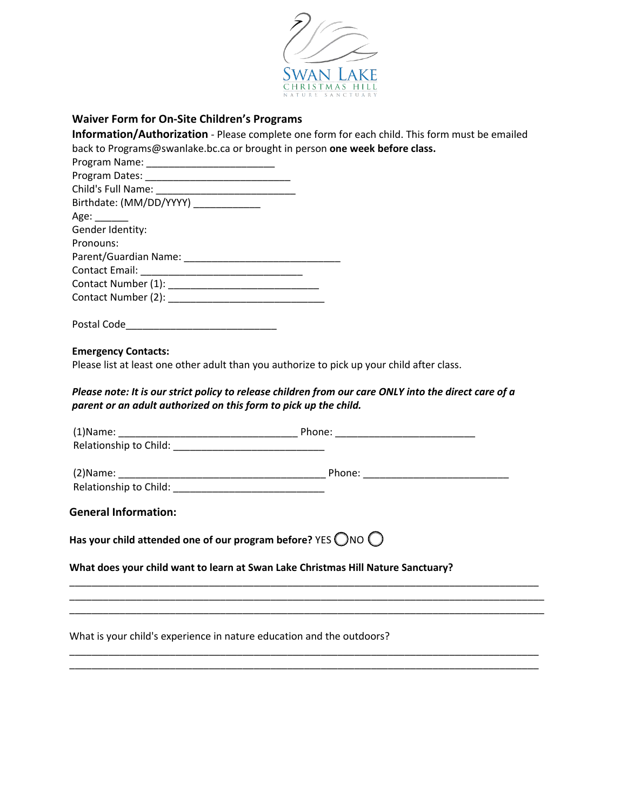

# **Waiver Form for On-Site Children's Programs**

|                                                                                                                                                                           | Information/Authorization - Please complete one form for each child. This form must be emailed |
|---------------------------------------------------------------------------------------------------------------------------------------------------------------------------|------------------------------------------------------------------------------------------------|
| back to Programs@swanlake.bc.ca or brought in person one week before class.                                                                                               |                                                                                                |
|                                                                                                                                                                           |                                                                                                |
|                                                                                                                                                                           |                                                                                                |
|                                                                                                                                                                           |                                                                                                |
| Birthdate: (MM/DD/YYYY) ____________                                                                                                                                      |                                                                                                |
| Age: $\_\_\_\_\_\_\_\_\$                                                                                                                                                  |                                                                                                |
| Gender Identity:                                                                                                                                                          |                                                                                                |
| Pronouns:                                                                                                                                                                 |                                                                                                |
| Parent/Guardian Name: Names                                                                                                                                               |                                                                                                |
|                                                                                                                                                                           |                                                                                                |
|                                                                                                                                                                           |                                                                                                |
|                                                                                                                                                                           |                                                                                                |
|                                                                                                                                                                           |                                                                                                |
|                                                                                                                                                                           |                                                                                                |
|                                                                                                                                                                           |                                                                                                |
| <b>Emergency Contacts:</b>                                                                                                                                                |                                                                                                |
| Please list at least one other adult than you authorize to pick up your child after class.                                                                                |                                                                                                |
|                                                                                                                                                                           |                                                                                                |
| Please note: It is our strict policy to release children from our care ONLY into the direct care of a<br>parent or an adult authorized on this form to pick up the child. |                                                                                                |
|                                                                                                                                                                           |                                                                                                |
|                                                                                                                                                                           |                                                                                                |
|                                                                                                                                                                           |                                                                                                |
|                                                                                                                                                                           |                                                                                                |
|                                                                                                                                                                           |                                                                                                |
|                                                                                                                                                                           |                                                                                                |
| <b>General Information:</b>                                                                                                                                               |                                                                                                |
|                                                                                                                                                                           |                                                                                                |
| Has your child attended one of our program before? YES $\bigcirc$ NO $\bigcirc$                                                                                           |                                                                                                |
|                                                                                                                                                                           |                                                                                                |
| What does your child want to learn at Swan Lake Christmas Hill Nature Sanctuary?                                                                                          |                                                                                                |
|                                                                                                                                                                           |                                                                                                |
|                                                                                                                                                                           |                                                                                                |
|                                                                                                                                                                           |                                                                                                |
|                                                                                                                                                                           |                                                                                                |

\_\_\_\_\_\_\_\_\_\_\_\_\_\_\_\_\_\_\_\_\_\_\_\_\_\_\_\_\_\_\_\_\_\_\_\_\_\_\_\_\_\_\_\_\_\_\_\_\_\_\_\_\_\_\_\_\_\_\_\_\_\_\_\_\_\_\_\_\_\_\_\_\_\_\_\_\_\_\_\_\_\_\_\_ \_\_\_\_\_\_\_\_\_\_\_\_\_\_\_\_\_\_\_\_\_\_\_\_\_\_\_\_\_\_\_\_\_\_\_\_\_\_\_\_\_\_\_\_\_\_\_\_\_\_\_\_\_\_\_\_\_\_\_\_\_\_\_\_\_\_\_\_\_\_\_\_\_\_\_\_\_\_\_\_\_\_\_\_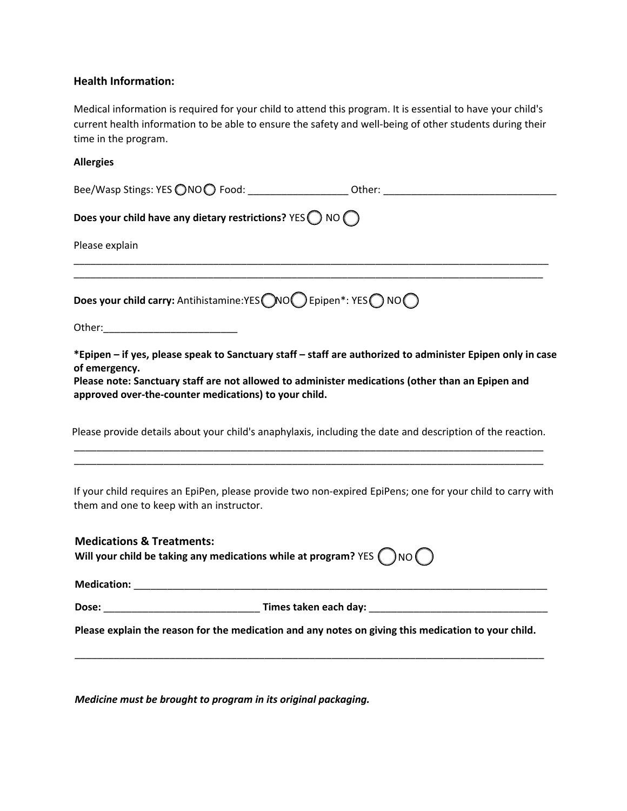# **Health Information:**

Medical information is required for your child to attend this program. It is essential to have your child's current health information to be able to ensure the safety and well-being of other students during their time in the program.

## **Allergies**

| Does your child have any dietary restrictions? $YES$ $NO$ $O$                                                                                                                                                                                                                            |  |
|------------------------------------------------------------------------------------------------------------------------------------------------------------------------------------------------------------------------------------------------------------------------------------------|--|
| Please explain                                                                                                                                                                                                                                                                           |  |
| Does your child carry: Antihistamine:YES NOO Epipen*: YES ONOO                                                                                                                                                                                                                           |  |
| *Epipen - if yes, please speak to Sanctuary staff - staff are authorized to administer Epipen only in case<br>of emergency.<br>Please note: Sanctuary staff are not allowed to administer medications (other than an Epipen and<br>approved over-the-counter medications) to your child. |  |
| Please provide details about your child's anaphylaxis, including the date and description of the reaction.                                                                                                                                                                               |  |
| If your child requires an EpiPen, please provide two non-expired EpiPens; one for your child to carry with<br>them and one to keep with an instructor.                                                                                                                                   |  |
| <b>Medications &amp; Treatments:</b><br>Will your child be taking any medications while at program? YES $\binom{ }{N}$ NO $\binom{ }{N}$                                                                                                                                                 |  |
|                                                                                                                                                                                                                                                                                          |  |
|                                                                                                                                                                                                                                                                                          |  |
| Please explain the reason for the medication and any notes on giving this medication to your child.                                                                                                                                                                                      |  |
|                                                                                                                                                                                                                                                                                          |  |

*Medicine must be brought to program in its original packaging.*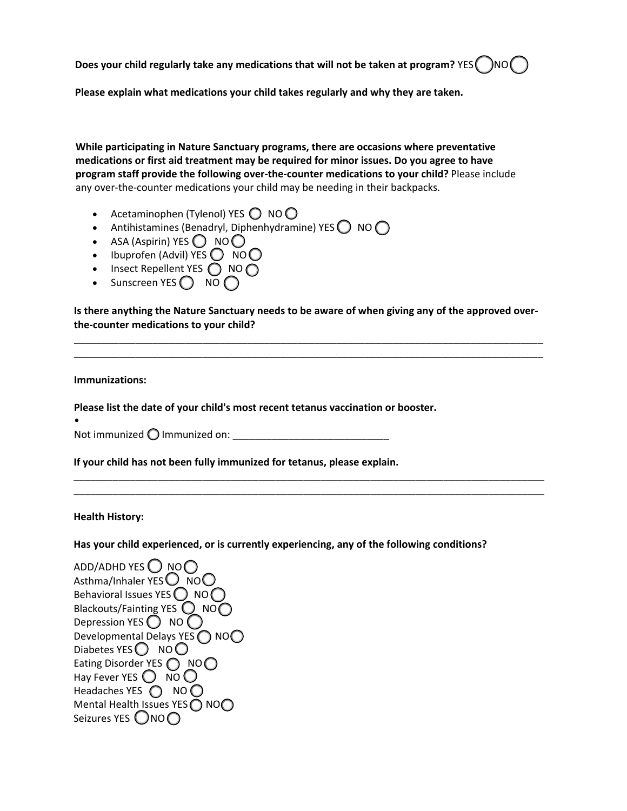**Does your child regularly take any medications that will not be taken at program? YES ( )NO (** 

**Please explain what medications your child takes regularly and why they are taken.** 

**While participating in Nature Sanctuary programs, there are occasions where preventative medications or first aid treatment may be required for minor issues. Do you agree to have program staff provide the following over-the-counter medications to your child?** Please include any over-the-counter medications your child may be needing in their backpacks.

- Acetaminophen (Tylenol) YES  $\bigcirc$  NO $\bigcirc$
- Antihistamines (Benadryl, Diphenhydramine) YES  $\bigcirc$  NO  $\bigcirc$
- ASA (Aspirin) YES  $\bigcirc$  NO $\bigcirc$
- Ibuprofen (Advil) YES  $\bigcirc$  NO $\bigcirc$
- Insect Repellent YES  $\bigcirc$  NO $\bigcirc$
- Sunscreen YES  $\bigcap$  NO  $\bigcap$

**Is there anything the Nature Sanctuary needs to be aware of when giving any of the approved overthe-counter medications to your child?** 

\_\_\_\_\_\_\_\_\_\_\_\_\_\_\_\_\_\_\_\_\_\_\_\_\_\_\_\_\_\_\_\_\_\_\_\_\_\_\_\_\_\_\_\_\_\_\_\_\_\_\_\_\_\_\_\_\_\_\_\_\_\_\_\_\_\_\_\_\_\_\_\_\_\_\_\_\_\_\_\_\_\_\_\_ \_\_\_\_\_\_\_\_\_\_\_\_\_\_\_\_\_\_\_\_\_\_\_\_\_\_\_\_\_\_\_\_\_\_\_\_\_\_\_\_\_\_\_\_\_\_\_\_\_\_\_\_\_\_\_\_\_\_\_\_\_\_\_\_\_\_\_\_\_\_\_\_\_\_\_\_\_\_\_\_\_\_\_\_

\_\_\_\_\_\_\_\_\_\_\_\_\_\_\_\_\_\_\_\_\_\_\_\_\_\_\_\_\_\_\_\_\_\_\_\_\_\_\_\_\_\_\_\_\_\_\_\_\_\_\_\_\_\_\_\_\_\_\_\_\_\_\_\_\_\_\_\_\_\_\_\_\_\_\_\_\_\_\_\_\_\_\_\_ \_\_\_\_\_\_\_\_\_\_\_\_\_\_\_\_\_\_\_\_\_\_\_\_\_\_\_\_\_\_\_\_\_\_\_\_\_\_\_\_\_\_\_\_\_\_\_\_\_\_\_\_\_\_\_\_\_\_\_\_\_\_\_\_\_\_\_\_\_\_\_\_\_\_\_\_\_\_\_\_\_\_\_\_

## **Immunizations:**

**Please list the date of your child's most recent tetanus vaccination or booster.**

• Not immunized  $\bigcirc$  Immunized on:

**If your child has not been fully immunized for tetanus, please explain.** 

### **Health History:**

**Has your child experienced, or is currently experiencing, any of the following conditions?** 

ADD/ADHD YES  $\bigcirc$  NO $\bigcirc$ Asthma/Inhaler YES $O$  NO $O$ Behavioral Issues YES  $\bigcirc$  NO $\bigcirc$ Blackouts/Fainting YES  $\bigcirc$  NO $\bigcirc$ Depression YES  $\bigcirc$  NO  $\bigcirc$ Developmental Delays YES O NOO Diabetes YES  $\bigcirc$  NO $\bigcirc$ Eating Disorder YES  $\bigcirc$  NO $\bigcirc$ Hay Fever YES  $\bigcirc$  NO  $\bigcirc$ Headaches YES ( NO O Mental Health Issues YES  $\bigcirc$  NO $\bigcirc$ Seizures YES  $\bigcirc$ NO $\bigcirc$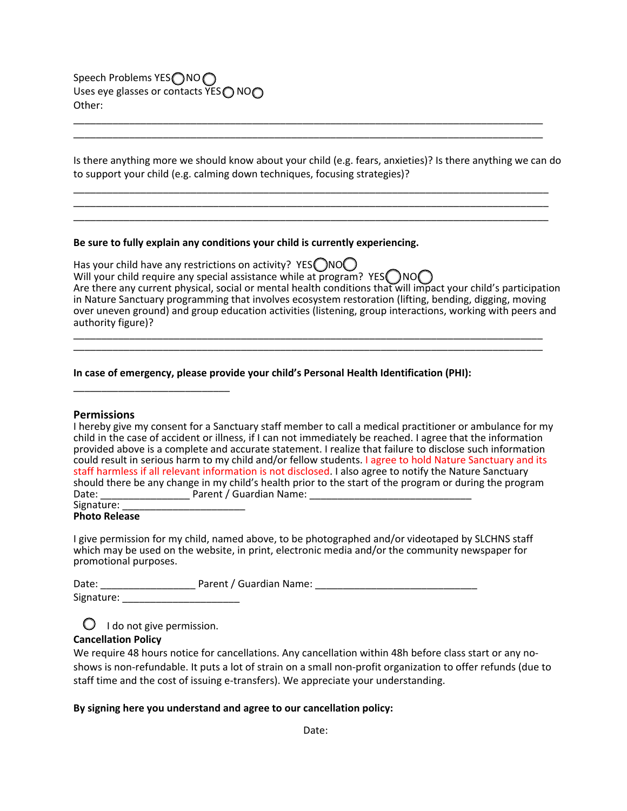Speech Problems YES∩NO∩ Uses eye glasses or contacts YES  $\bigcap$  NO $\bigcap$ Other:

Is there anything more we should know about your child (e.g. fears, anxieties)? Is there anything we can do to support your child (e.g. calming down techniques, focusing strategies)?

\_\_\_\_\_\_\_\_\_\_\_\_\_\_\_\_\_\_\_\_\_\_\_\_\_\_\_\_\_\_\_\_\_\_\_\_\_\_\_\_\_\_\_\_\_\_\_\_\_\_\_\_\_\_\_\_\_\_\_\_\_\_\_\_\_\_\_\_\_\_\_\_\_\_\_\_\_\_\_\_\_\_\_\_\_ \_\_\_\_\_\_\_\_\_\_\_\_\_\_\_\_\_\_\_\_\_\_\_\_\_\_\_\_\_\_\_\_\_\_\_\_\_\_\_\_\_\_\_\_\_\_\_\_\_\_\_\_\_\_\_\_\_\_\_\_\_\_\_\_\_\_\_\_\_\_\_\_\_\_\_\_\_\_\_\_\_\_\_\_\_ \_\_\_\_\_\_\_\_\_\_\_\_\_\_\_\_\_\_\_\_\_\_\_\_\_\_\_\_\_\_\_\_\_\_\_\_\_\_\_\_\_\_\_\_\_\_\_\_\_\_\_\_\_\_\_\_\_\_\_\_\_\_\_\_\_\_\_\_\_\_\_\_\_\_\_\_\_\_\_\_\_\_\_\_\_

\_\_\_\_\_\_\_\_\_\_\_\_\_\_\_\_\_\_\_\_\_\_\_\_\_\_\_\_\_\_\_\_\_\_\_\_\_\_\_\_\_\_\_\_\_\_\_\_\_\_\_\_\_\_\_\_\_\_\_\_\_\_\_\_\_\_\_\_\_\_\_\_\_\_\_\_\_\_\_\_\_\_\_\_ \_\_\_\_\_\_\_\_\_\_\_\_\_\_\_\_\_\_\_\_\_\_\_\_\_\_\_\_\_\_\_\_\_\_\_\_\_\_\_\_\_\_\_\_\_\_\_\_\_\_\_\_\_\_\_\_\_\_\_\_\_\_\_\_\_\_\_\_\_\_\_\_\_\_\_\_\_\_\_\_\_\_\_\_

#### **Be sure to fully explain any conditions your child is currently experiencing.**

Has your child have any restrictions on activity? YES  $\bigcirc$  NO $\bigcirc$ Will your child require any special assistance while at program?  $YESONO$ Are there any current physical, social or mental health conditions that will impact your child's participation in Nature Sanctuary programming that involves ecosystem restoration (lifting, bending, digging, moving over uneven ground) and group education activities (listening, group interactions, working with peers and authority figure)? \_\_\_\_\_\_\_\_\_\_\_\_\_\_\_\_\_\_\_\_\_\_\_\_\_\_\_\_\_\_\_\_\_\_\_\_\_\_\_\_\_\_\_\_\_\_\_\_\_\_\_\_\_\_\_\_\_\_\_\_\_\_\_\_\_\_\_\_\_\_\_\_\_\_\_\_\_\_\_\_\_\_\_\_

\_\_\_\_\_\_\_\_\_\_\_\_\_\_\_\_\_\_\_\_\_\_\_\_\_\_\_\_\_\_\_\_\_\_\_\_\_\_\_\_\_\_\_\_\_\_\_\_\_\_\_\_\_\_\_\_\_\_\_\_\_\_\_\_\_\_\_\_\_\_\_\_\_\_\_\_\_\_\_\_\_\_\_\_

#### **In case of emergency, please provide your child's Personal Health Identification (PHI):**

#### **Permissions**

|                                                                                                           | I hereby give my consent for a Sanctuary staff member to call a medical practitioner or ambulance for my    |  |  |  |
|-----------------------------------------------------------------------------------------------------------|-------------------------------------------------------------------------------------------------------------|--|--|--|
|                                                                                                           | child in the case of accident or illness, if I can not immediately be reached. I agree that the information |  |  |  |
| provided above is a complete and accurate statement. I realize that failure to disclose such information  |                                                                                                             |  |  |  |
| could result in serious harm to my child and/or fellow students. I agree to hold Nature Sanctuary and its |                                                                                                             |  |  |  |
|                                                                                                           | staff harmless if all relevant information is not disclosed. I also agree to notify the Nature Sanctuary    |  |  |  |
|                                                                                                           | should there be any change in my child's health prior to the start of the program or during the program     |  |  |  |
| Date:                                                                                                     | Parent / Guardian Name:                                                                                     |  |  |  |
| Signature:                                                                                                |                                                                                                             |  |  |  |

#### **Photo Release**

I give permission for my child, named above, to be photographed and/or videotaped by SLCHNS staff which may be used on the website, in print, electronic media and/or the community newspaper for promotional purposes.

| Date:      | Parent / Guardian Name: |  |
|------------|-------------------------|--|
| Signature: |                         |  |

 $\bigcirc$  I do not give permission.

\_\_\_\_\_\_\_\_\_\_\_\_\_\_\_\_\_\_\_\_\_\_\_\_\_\_\_\_

## **Cancellation Policy**

We require 48 hours notice for cancellations. Any cancellation within 48h before class start or any noshows is non-refundable. It puts a lot of strain on a small non-profit organization to offer refunds (due to staff time and the cost of issuing e-transfers). We appreciate your understanding.

### **By signing here you understand and agree to our cancellation policy:**